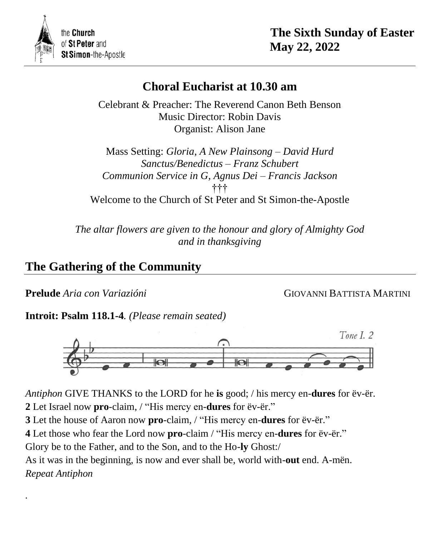

# **Choral Eucharist at 10.30 am**

Celebrant & Preacher: The Reverend Canon Beth Benson Music Director: Robin Davis Organist: Alison Jane

Mass Setting: *Gloria*, *A New Plainsong – David Hurd Sanctus/Benedictus – Franz Schubert Communion Service in G, Agnus Dei – Francis Jackson*  ††† Welcome to the Church of St Peter and St Simon-the-Apostle

*The altar flowers are given to the honour and glory of Almighty God and in thanksgiving*

# **The Gathering of the Community**

*.*

**Prelude** *Aria con Variazióni* GIOVANNI BATTISTA MARTINI

**Introit: Psalm 118.1-4***. (Please remain seated)*



*Antiphon* GIVE THANKS to the LORD for he **is** good; / his mercy en-**dures** for ëv-ër.

**2** Let Israel now **pro**-claim, / "His mercy en-**dures** for ëv-ër."

**3** Let the house of Aaron now **pro**-claim, / "His mercy en-**dures** for ëv-ër."

**4** Let those who fear the Lord now **pro**-claim / "His mercy en-**dures** for ëv-ër."

Glory be to the Father, and to the Son, and to the Ho-**ly** Ghost:/

As it was in the beginning, is now and ever shall be, world with-**out** end. A-mën. *Repeat Antiphon*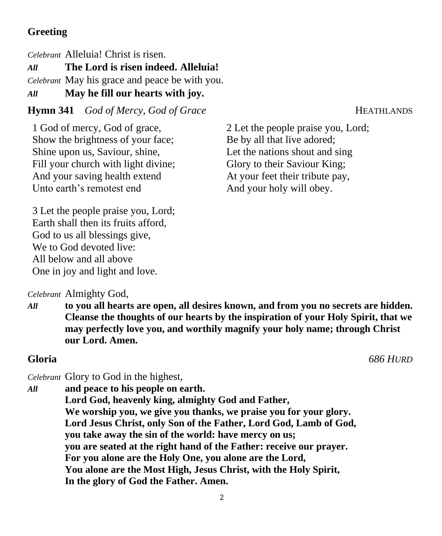# **Greeting**

*Celebrant* Alleluia! Christ is risen.

*All* **The Lord is risen indeed. Alleluia!**

*Celebrant* May his grace and peace be with you.

*All* **May he fill our hearts with joy.**

# **Hymn 341** *God of Mercy, God of Grace* HEATHLANDS

1 God of mercy, God of grace, Show the brightness of your face; Shine upon us, Saviour, shine, Fill your church with light divine; And your saving health extend Unto earth's remotest end

3 Let the people praise you, Lord; Earth shall then its fruits afford, God to us all blessings give, We to God devoted live: All below and all above One in joy and light and love.

2 Let the people praise you, Lord; Be by all that live adored; Let the nations shout and sing Glory to their Saviour King; At your feet their tribute pay, And your holy will obey.

*Celebrant* Almighty God,

*All* **to you all hearts are open, all desires known, and from you no secrets are hidden. Cleanse the thoughts of our hearts by the inspiration of your Holy Spirit, that we may perfectly love you, and worthily magnify your holy name; through Christ our Lord. Amen.**

## **Gloria** *686 HURD*

*Celebrant* Glory to God in the highest,

*All* **and peace to his people on earth. Lord God, heavenly king, almighty God and Father, We worship you, we give you thanks, we praise you for your glory. Lord Jesus Christ, only Son of the Father, Lord God, Lamb of God, you take away the sin of the world: have mercy on us; you are seated at the right hand of the Father: receive our prayer. For you alone are the Holy One, you alone are the Lord, You alone are the Most High, Jesus Christ, with the Holy Spirit, In the glory of God the Father. Amen.**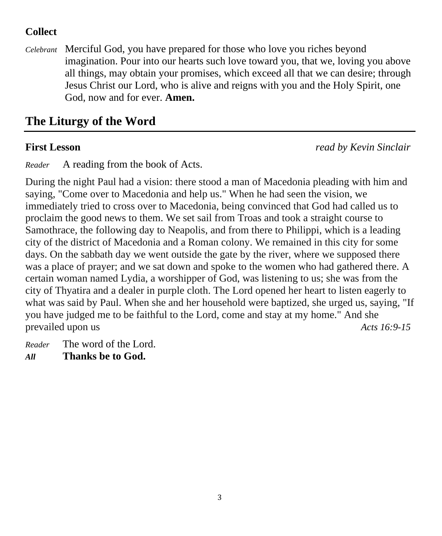# **Collect**

*Celebrant* Merciful God, you have prepared for those who love you riches beyond imagination. Pour into our hearts such love toward you, that we, loving you above all things, may obtain your promises, which exceed all that we can desire; through Jesus Christ our Lord, who is alive and reigns with you and the Holy Spirit, one God, now and for ever. **Amen.**

# **The Liturgy of the Word**

**First Lesson** *read by Kevin Sinclair*

*Reader* A reading from the book of Acts.

During the night Paul had a vision: there stood a man of Macedonia pleading with him and saying, "Come over to Macedonia and help us." When he had seen the vision, we immediately tried to cross over to Macedonia, being convinced that God had called us to proclaim the good news to them. We set sail from Troas and took a straight course to Samothrace, the following day to Neapolis, and from there to Philippi, which is a leading city of the district of Macedonia and a Roman colony. We remained in this city for some days. On the sabbath day we went outside the gate by the river, where we supposed there was a place of prayer; and we sat down and spoke to the women who had gathered there. A certain woman named Lydia, a worshipper of God, was listening to us; she was from the city of Thyatira and a dealer in purple cloth. The Lord opened her heart to listen eagerly to what was said by Paul. When she and her household were baptized, she urged us, saying, "If you have judged me to be faithful to the Lord, come and stay at my home." And she prevailed upon us *Acts 16:9-15*

*Reader* The word of the Lord. *All* **Thanks be to God.**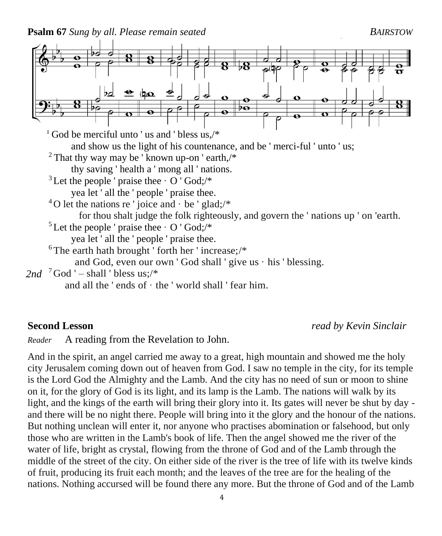**Psalm 67** *Sung by all. Please remain seated BAIRSTOW*



<sup>1</sup> God be merciful unto 'us and 'bless us./\* and show us the light of his countenance, and be ' merci-ful ' unto ' us; <sup>2</sup> That thy way may be ' known up-on ' earth, $/$ \* thy saving ' health a ' mong all ' nations.  $3$  Let the people ' praise thee  $\cdot$  O ' God;/\* yea let ' all the ' people ' praise thee.  $4^4$ O let the nations re ' joice and  $\cdot$  be ' glad;/\* for thou shalt judge the folk righteously, and govern the ' nations up ' on 'earth. <sup>5</sup>Let the people ' praise thee  $\cdot$  O ' God;/\* yea let ' all the ' people ' praise thee.  $6$ The earth hath brought ' forth her ' increase;/\* and God, even our own 'God shall ' give us  $\cdot$  his ' blessing.  $2nd^{-7}$ God ' – shall ' bless us;/\* and all the  $'$  ends of  $\cdot$  the  $'$  world shall  $'$  fear him.

**Second Lesson** *read by Kevin Sinclair*

*Reader* A reading from the Revelation to John.

And in the spirit, an angel carried me away to a great, high mountain and showed me the holy city Jerusalem coming down out of heaven from God. I saw no temple in the city, for its temple is the Lord God the Almighty and the Lamb. And the city has no need of sun or moon to shine on it, for the glory of God is its light, and its lamp is the Lamb. The nations will walk by its light, and the kings of the earth will bring their glory into it. Its gates will never be shut by day and there will be no night there. People will bring into it the glory and the honour of the nations. But nothing unclean will enter it, nor anyone who practises abomination or falsehood, but only those who are written in the Lamb's book of life. Then the angel showed me the river of the water of life, bright as crystal, flowing from the throne of God and of the Lamb through the middle of the street of the city. On either side of the river is the tree of life with its twelve kinds of fruit, producing its fruit each month; and the leaves of the tree are for the healing of the nations. Nothing accursed will be found there any more. But the throne of God and of the Lamb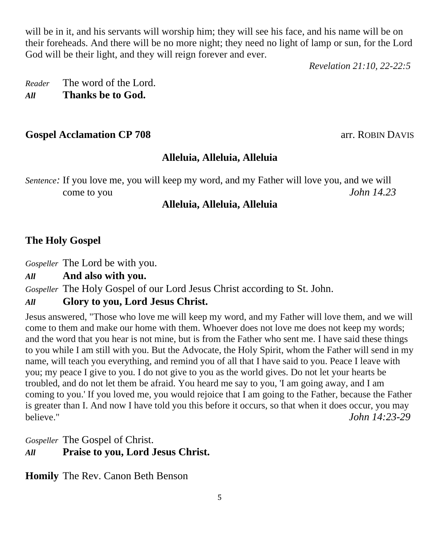will be in it, and his servants will worship him; they will see his face, and his name will be on their foreheads. And there will be no more night; they need no light of lamp or sun, for the Lord God will be their light, and they will reign forever and ever.

*Revelation 21:10, 22-22:5*

*Reader* The word of the Lord. *All* **Thanks be to God.**

## **Gospel Acclamation CP 708 arr.** ROBIN DAVIS

### **Alleluia, Alleluia, Alleluia**

*Sentence:* If you love me, you will keep my word, and my Father will love you, and we will come to you *John 14.23*

#### **Alleluia, Alleluia, Alleluia**

## **The Holy Gospel**

*Gospeller* The Lord be with you.

*All* **And also with you.**

*Gospeller* The Holy Gospel of our Lord Jesus Christ according to St. John.

## *All* **Glory to you, Lord Jesus Christ.**

Jesus answered, "Those who love me will keep my word, and my Father will love them, and we will come to them and make our home with them. Whoever does not love me does not keep my words; and the word that you hear is not mine, but is from the Father who sent me. I have said these things to you while I am still with you. But the Advocate, the Holy Spirit, whom the Father will send in my name, will teach you everything, and remind you of all that I have said to you. Peace I leave with you; my peace I give to you. I do not give to you as the world gives. Do not let your hearts be troubled, and do not let them be afraid. You heard me say to you, 'I am going away, and I am coming to you.' If you loved me, you would rejoice that I am going to the Father, because the Father is greater than I. And now I have told you this before it occurs, so that when it does occur, you may believe." *John 14:23-29*

*Gospeller* The Gospel of Christ. *All* **Praise to you, Lord Jesus Christ.**

**Homily** The Rev. Canon Beth Benson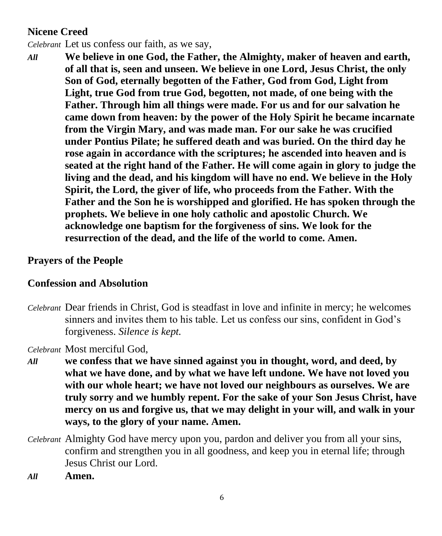## **Nicene Creed**

*Celebrant* Let us confess our faith, as we say,

*All* **We believe in one God, the Father, the Almighty, maker of heaven and earth, of all that is, seen and unseen. We believe in one Lord, Jesus Christ, the only Son of God, eternally begotten of the Father, God from God, Light from Light, true God from true God, begotten, not made, of one being with the Father. Through him all things were made. For us and for our salvation he came down from heaven: by the power of the Holy Spirit he became incarnate from the Virgin Mary, and was made man. For our sake he was crucified under Pontius Pilate; he suffered death and was buried. On the third day he rose again in accordance with the scriptures; he ascended into heaven and is seated at the right hand of the Father. He will come again in glory to judge the living and the dead, and his kingdom will have no end. We believe in the Holy Spirit, the Lord, the giver of life, who proceeds from the Father. With the Father and the Son he is worshipped and glorified. He has spoken through the prophets. We believe in one holy catholic and apostolic Church. We acknowledge one baptism for the forgiveness of sins. We look for the resurrection of the dead, and the life of the world to come. Amen.**

### **Prayers of the People**

#### **Confession and Absolution**

- *Celebrant* Dear friends in Christ, God is steadfast in love and infinite in mercy; he welcomes sinners and invites them to his table. Let us confess our sins, confident in God's forgiveness. *Silence is kept.*
- *Celebrant* Most merciful God,
- *All* **we confess that we have sinned against you in thought, word, and deed, by what we have done, and by what we have left undone. We have not loved you with our whole heart; we have not loved our neighbours as ourselves. We are truly sorry and we humbly repent. For the sake of your Son Jesus Christ, have mercy on us and forgive us, that we may delight in your will, and walk in your ways, to the glory of your name. Amen.**
- *Celebrant* Almighty God have mercy upon you, pardon and deliver you from all your sins, confirm and strengthen you in all goodness, and keep you in eternal life; through Jesus Christ our Lord.
- *All* **Amen.**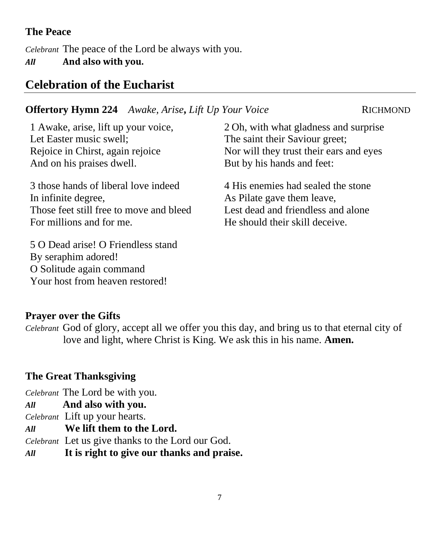## **The Peace**

*Celebrant* The peace of the Lord be always with you. *All* **And also with you.**

# **Celebration of the Eucharist**

## **Offertory Hymn 224** *Awake, Arise***,** *Lift Up Your Voice* RICHMOND

| 1 Awake, arise, lift up your voice,     | 2 Oh, with what gladness and surprise   |
|-----------------------------------------|-----------------------------------------|
| Let Easter music swell;                 | The saint their Saviour greet;          |
| Rejoice in Chirst, again rejoice        | Nor will they trust their ears and eyes |
| And on his praises dwell.               | But by his hands and feet:              |
| 3 those hands of liberal love indeed    | 4 His enemies had sealed the stone      |
| In infinite degree,                     | As Pilate gave them leave,              |
| Those feet still free to move and bleed | Lest dead and friendless and alone      |
| For millions and for me.                | He should their skill deceive.          |
| 5 O Dead arise! O Friendless stand      |                                         |
| By seraphim adored!                     |                                         |
| O Solitude again command                |                                         |

## **Prayer over the Gifts**

*Celebrant* God of glory, accept all we offer you this day, and bring us to that eternal city of love and light, where Christ is King. We ask this in his name. **Amen.**

## **The Great Thanksgiving**

*Celebrant* The Lord be with you.

Your host from heaven restored!

- *All* **And also with you.**
- *Celebrant* Lift up your hearts.
- *All* **We lift them to the Lord.**

*Celebrant* Let us give thanks to the Lord our God.

*All* **It is right to give our thanks and praise.**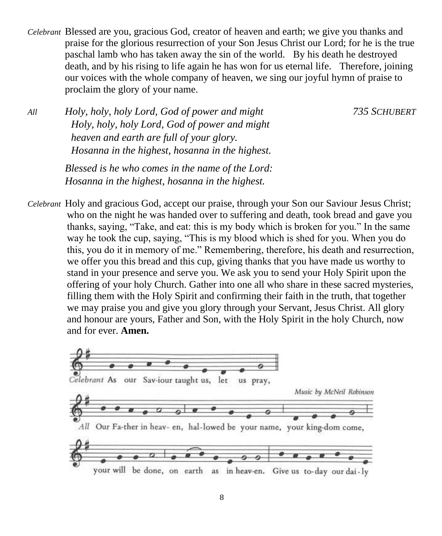*Celebrant* Blessed are you, gracious God, creator of heaven and earth; we give you thanks and praise for the glorious resurrection of your Son Jesus Christ our Lord; for he is the true paschal lamb who has taken away the sin of the world. By his death he destroyed death, and by his rising to life again he has won for us eternal life. Therefore, joining our voices with the whole company of heaven, we sing our joyful hymn of praise to proclaim the glory of your name.

| All | Holy, holy, holy Lord, God of power and might    | <b>735 SCHUBERT</b> |
|-----|--------------------------------------------------|---------------------|
|     | Holy, holy, holy Lord, God of power and might    |                     |
|     | heaven and earth are full of your glory.         |                     |
|     | Hosanna in the highest, hosanna in the highest.  |                     |
|     | Blessed is he who comes in the name of the Lord: |                     |

*Hosanna in the highest, hosanna in the highest.*

*Celebrant* Holy and gracious God, accept our praise, through your Son our Saviour Jesus Christ; who on the night he was handed over to suffering and death, took bread and gave you thanks, saying, "Take, and eat: this is my body which is broken for you." In the same way he took the cup, saying, "This is my blood which is shed for you. When you do this, you do it in memory of me." Remembering, therefore, his death and resurrection, we offer you this bread and this cup, giving thanks that you have made us worthy to stand in your presence and serve you. We ask you to send your Holy Spirit upon the offering of your holy Church. Gather into one all who share in these sacred mysteries, filling them with the Holy Spirit and confirming their faith in the truth, that together we may praise you and give you glory through your Servant, Jesus Christ. All glory and honour are yours, Father and Son, with the Holy Spirit in the holy Church, now and for ever. **Amen.**

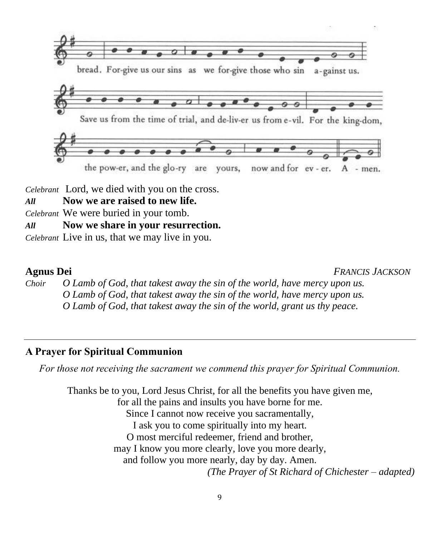

*Celebrant* Lord, we died with you on the cross.

*All* **Now we are raised to new life.**

*Celebrant* We were buried in your tomb.

*All* **Now we share in your resurrection.**

*Celebrant* Live in us, that we may live in you.

**Agnus Dei** *FRANCIS JACKSON*

*Choir O Lamb of God, that takest away the sin of the world, have mercy upon us. O Lamb of God, that takest away the sin of the world, have mercy upon us. O Lamb of God, that takest away the sin of the world, grant us thy peace.*

#### **A Prayer for Spiritual Communion**

*For those not receiving the sacrament we commend this prayer for Spiritual Communion.*

Thanks be to you, Lord Jesus Christ, for all the benefits you have given me, for all the pains and insults you have borne for me. Since I cannot now receive you sacramentally, I ask you to come spiritually into my heart. O most merciful redeemer, friend and brother, may I know you more clearly, love you more dearly, and follow you more nearly, day by day. Amen. *(The Prayer of St Richard of Chichester – adapted)*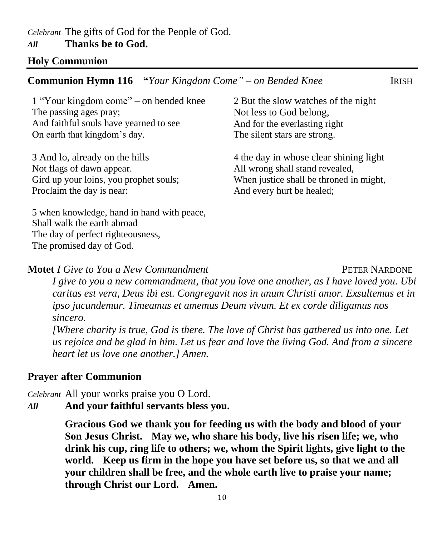#### *Celebrant* The gifts of God for the People of God. *All* **Thanks be to God.**

#### **Holy Communion**

**Communion Hymn 116 "***Your Kingdom Come" – on Bended Knee* IRISH

1 "Your kingdom come" – on bended knee The passing ages pray; And faithful souls have yearned to see On earth that kingdom's day.

3 And lo, already on the hills Not flags of dawn appear. Gird up your loins, you prophet souls; Proclaim the day is near:

2 But the slow watches of the night Not less to God belong, And for the everlasting right The silent stars are strong.

4 the day in whose clear shining light All wrong shall stand revealed, When justice shall be throned in might, And every hurt be healed;

5 when knowledge, hand in hand with peace, Shall walk the earth abroad – The day of perfect righteousness, The promised day of God.

**Motet** *I* Give to You a New Commandment PETER NARDONE

*I give to you a new commandment, that you love one another, as I have loved you. Ubi caritas est vera, Deus ibi est. Congregavit nos in unum Christi amor. Exsultemus et in ipso jucundemur. Timeamus et amemus Deum vivum. Et ex corde diligamus nos sincero.* 

*[Where charity is true, God is there. The love of Christ has gathered us into one. Let us rejoice and be glad in him. Let us fear and love the living God. And from a sincere heart let us love one another.] Amen.*

#### **Prayer after Communion**

*Celebrant* All your works praise you O Lord.

*All* **And your faithful servants bless you.**

**Gracious God we thank you for feeding us with the body and blood of your Son Jesus Christ. May we, who share his body, live his risen life; we, who drink his cup, ring life to others; we, whom the Spirit lights, give light to the world. Keep us firm in the hope you have set before us, so that we and all your children shall be free, and the whole earth live to praise your name; through Christ our Lord. Amen.**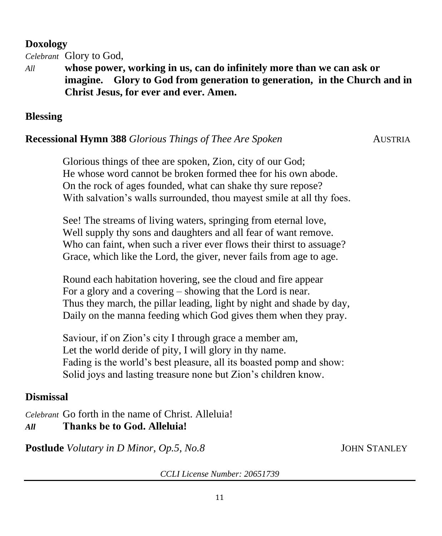## **Doxology**

*Celebrant* Glory to God,

*All* **whose power, working in us, can do infinitely more than we can ask or imagine. Glory to God from generation to generation, in the Church and in Christ Jesus, for ever and ever. Amen.**

### **Blessing**

#### **Recessional Hymn 388** *Glorious Things of Thee Are Spoken* AUSTRIA

Glorious things of thee are spoken, Zion, city of our God; He whose word cannot be broken formed thee for his own abode. On the rock of ages founded, what can shake thy sure repose? With salvation's walls surrounded, thou mayest smile at all thy foes.

See! The streams of living waters, springing from eternal love, Well supply thy sons and daughters and all fear of want remove. Who can faint, when such a river ever flows their thirst to assuage? Grace, which like the Lord, the giver, never fails from age to age.

Round each habitation hovering, see the cloud and fire appear For a glory and a covering – showing that the Lord is near. Thus they march, the pillar leading, light by night and shade by day, Daily on the manna feeding which God gives them when they pray.

Saviour, if on Zion's city I through grace a member am, Let the world deride of pity, I will glory in thy name. Fading is the world's best pleasure, all its boasted pomp and show: Solid joys and lasting treasure none but Zion's children know.

#### **Dismissal**

*Celebrant* Go forth in the name of Christ. Alleluia! *All* **Thanks be to God. Alleluia!**

**Postlude** *Volutary in D Minor, Op.5, No.8* JOHN STANLEY

*CCLI License Number: 20651739*